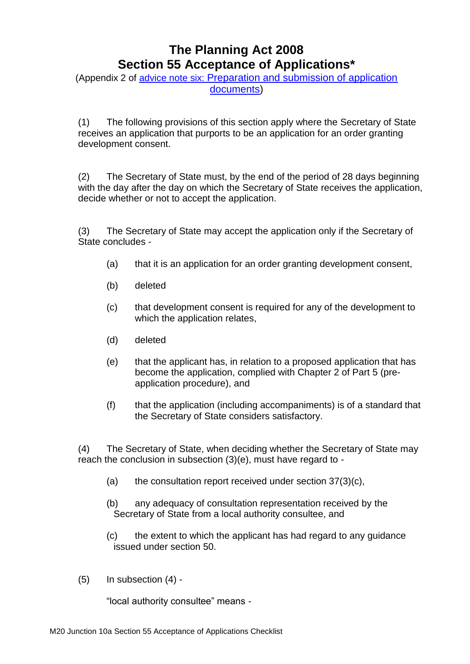# **The Planning Act 2008 Section 55 Acceptance of Applications\***

(Appendix 2 of advice note six: [Preparation and submission of application](http://infrastructure.planningportal.gov.uk/legislation-and-advice/advice-notes/)  [documents\)](http://infrastructure.planningportal.gov.uk/legislation-and-advice/advice-notes/)

(1) The following provisions of this section apply where the Secretary of State receives an application that purports to be an application for an order granting development consent.

(2) The Secretary of State must, by the end of the period of 28 days beginning with the day after the day on which the Secretary of State receives the application, decide whether or not to accept the application.

(3) The Secretary of State may accept the application only if the Secretary of State concludes -

- (a) that it is an application for an order granting development consent,
- (b) deleted
- (c) that development consent is required for any of the development to which the application relates,
- (d) deleted
- (e) that the applicant has, in relation to a proposed application that has become the application, complied with Chapter 2 of Part 5 (preapplication procedure), and
- (f) that the application (including accompaniments) is of a standard that the Secretary of State considers satisfactory.

(4) The Secretary of State, when deciding whether the Secretary of State may reach the conclusion in subsection (3)(e), must have regard to -

- (a) the consultation report received under section  $37(3)(c)$ ,
- (b) any adequacy of consultation representation received by the Secretary of State from a local authority consultee, and
- (c) the extent to which the applicant has had regard to any guidance issued under section 50.
- (5) In subsection (4) -

"local authority consultee" means -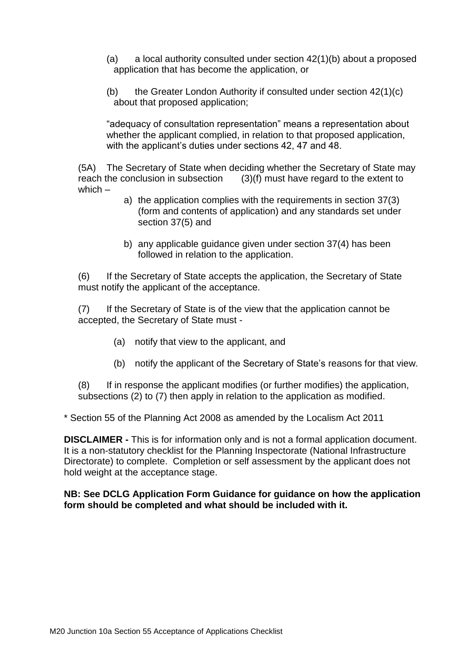- (a) a local authority consulted under section  $42(1)(b)$  about a proposed application that has become the application, or
- (b) the Greater London Authority if consulted under section 42(1)(c) about that proposed application;

"adequacy of consultation representation" means a representation about whether the applicant complied, in relation to that proposed application, with the applicant's duties under sections 42, 47 and 48.

(5A) The Secretary of State when deciding whether the Secretary of State may reach the conclusion in subsection  $(3)(f)$  must have regard to the extent to  $(3)(f)$  must have regard to the extent to which –

- a) the application complies with the requirements in section 37(3) (form and contents of application) and any standards set under section 37(5) and
- b) any applicable guidance given under section 37(4) has been followed in relation to the application.

(6) If the Secretary of State accepts the application, the Secretary of State must notify the applicant of the acceptance.

(7) If the Secretary of State is of the view that the application cannot be accepted, the Secretary of State must -

- (a) notify that view to the applicant, and
- (b) notify the applicant of the Secretary of State's reasons for that view.

(8) If in response the applicant modifies (or further modifies) the application, subsections (2) to (7) then apply in relation to the application as modified.

\* Section 55 of the Planning Act 2008 as amended by the Localism Act 2011

**DISCLAIMER -** This is for information only and is not a formal application document. It is a non-statutory checklist for the Planning Inspectorate (National Infrastructure Directorate) to complete. Completion or self assessment by the applicant does not hold weight at the acceptance stage.

#### **NB: See DCLG Application Form Guidance for guidance on how the application form should be completed and what should be included with it.**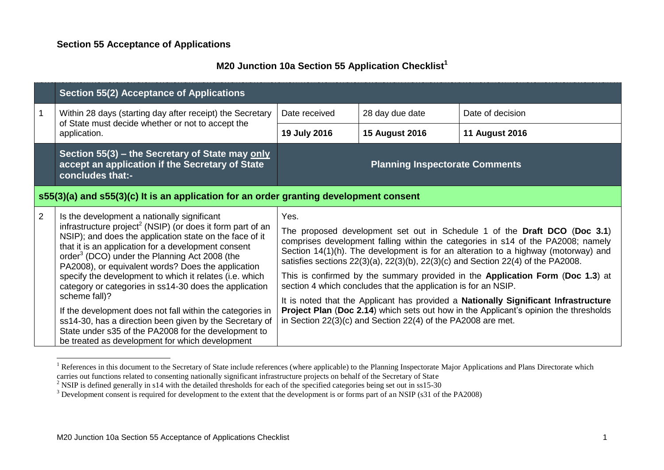## **M20 Junction 10a Section 55 Application Checklist<sup>1</sup>**

|                                                                                        | Section 55(2) Acceptance of Applications                                                                                                                                                                                                                                                                                                                                                                                                                                                                                                                                                                                                                                                                                            |                                                                                                                                                                                                                                                                                                                                                                                                                                                                                                                                                                                                                                                                                                                                                        |                                       |                       |
|----------------------------------------------------------------------------------------|-------------------------------------------------------------------------------------------------------------------------------------------------------------------------------------------------------------------------------------------------------------------------------------------------------------------------------------------------------------------------------------------------------------------------------------------------------------------------------------------------------------------------------------------------------------------------------------------------------------------------------------------------------------------------------------------------------------------------------------|--------------------------------------------------------------------------------------------------------------------------------------------------------------------------------------------------------------------------------------------------------------------------------------------------------------------------------------------------------------------------------------------------------------------------------------------------------------------------------------------------------------------------------------------------------------------------------------------------------------------------------------------------------------------------------------------------------------------------------------------------------|---------------------------------------|-----------------------|
|                                                                                        | Within 28 days (starting day after receipt) the Secretary                                                                                                                                                                                                                                                                                                                                                                                                                                                                                                                                                                                                                                                                           | Date received                                                                                                                                                                                                                                                                                                                                                                                                                                                                                                                                                                                                                                                                                                                                          | 28 day due date                       | Date of decision      |
|                                                                                        | of State must decide whether or not to accept the<br>application.                                                                                                                                                                                                                                                                                                                                                                                                                                                                                                                                                                                                                                                                   | 19 July 2016                                                                                                                                                                                                                                                                                                                                                                                                                                                                                                                                                                                                                                                                                                                                           | <b>15 August 2016</b>                 | <b>11 August 2016</b> |
|                                                                                        | Section 55(3) – the Secretary of State may only<br>accept an application if the Secretary of State<br>concludes that:-                                                                                                                                                                                                                                                                                                                                                                                                                                                                                                                                                                                                              |                                                                                                                                                                                                                                                                                                                                                                                                                                                                                                                                                                                                                                                                                                                                                        | <b>Planning Inspectorate Comments</b> |                       |
| s55(3)(a) and s55(3)(c) It is an application for an order granting development consent |                                                                                                                                                                                                                                                                                                                                                                                                                                                                                                                                                                                                                                                                                                                                     |                                                                                                                                                                                                                                                                                                                                                                                                                                                                                                                                                                                                                                                                                                                                                        |                                       |                       |
| $\overline{2}$                                                                         | Is the development a nationally significant<br>infrastructure project <sup>2</sup> (NSIP) (or does it form part of an<br>NSIP); and does the application state on the face of it<br>that it is an application for a development consent<br>order <sup>3</sup> (DCO) under the Planning Act 2008 (the<br>PA2008), or equivalent words? Does the application<br>specify the development to which it relates (i.e. which<br>category or categories in ss14-30 does the application<br>scheme fall)?<br>If the development does not fall within the categories in<br>ss14-30, has a direction been given by the Secretary of<br>State under s35 of the PA2008 for the development to<br>be treated as development for which development | Yes.<br>The proposed development set out in Schedule 1 of the Draft DCO (Doc 3.1)<br>comprises development falling within the categories in s14 of the PA2008; namely<br>Section 14(1)(h). The development is for an alteration to a highway (motorway) and<br>satisfies sections 22(3)(a), 22(3)(b), 22(3)(c) and Section 22(4) of the PA2008.<br>This is confirmed by the summary provided in the Application Form (Doc 1.3) at<br>section 4 which concludes that the application is for an NSIP.<br>It is noted that the Applicant has provided a Nationally Significant Infrastructure<br>Project Plan (Doc 2.14) which sets out how in the Applicant's opinion the thresholds<br>in Section $22(3)(c)$ and Section $22(4)$ of the PA2008 are met. |                                       |                       |

<sup>&</sup>lt;sup>1</sup> References in this document to the Secretary of State include references (where applicable) to the Planning Inspectorate Major Applications and Plans Directorate which carries out functions related to consenting nationally significant infrastructure projects on behalf of the Secretary of State

<u>.</u>

<sup>&</sup>lt;sup>2</sup> NSIP is defined generally in s14 with the detailed thresholds for each of the specified categories being set out in ss15-30

<sup>&</sup>lt;sup>3</sup> Development consent is required for development to the extent that the development is or forms part of an NSIP (s31 of the PA2008)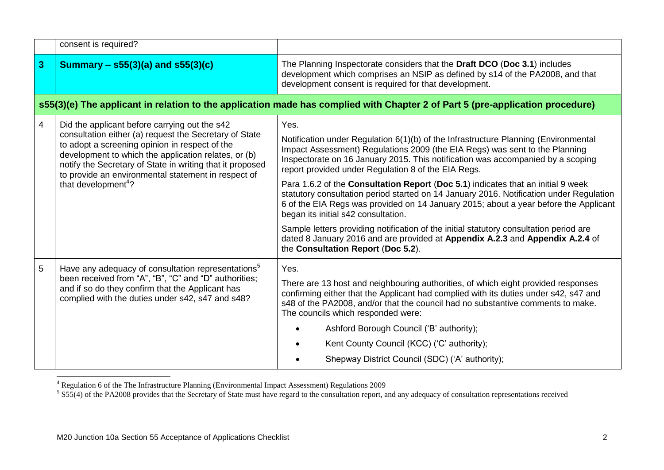|   | consent is required?                                                                                                                                                                                                                                                                                                                                                     |                                                                                                                                                                                                                                                                                                                                                                                                                                                                                                                                                                                                                                                                                                                                                                                                                                                     |
|---|--------------------------------------------------------------------------------------------------------------------------------------------------------------------------------------------------------------------------------------------------------------------------------------------------------------------------------------------------------------------------|-----------------------------------------------------------------------------------------------------------------------------------------------------------------------------------------------------------------------------------------------------------------------------------------------------------------------------------------------------------------------------------------------------------------------------------------------------------------------------------------------------------------------------------------------------------------------------------------------------------------------------------------------------------------------------------------------------------------------------------------------------------------------------------------------------------------------------------------------------|
| 3 | Summary – $s55(3)(a)$ and $s55(3)(c)$                                                                                                                                                                                                                                                                                                                                    | The Planning Inspectorate considers that the Draft DCO (Doc 3.1) includes<br>development which comprises an NSIP as defined by s14 of the PA2008, and that<br>development consent is required for that development.                                                                                                                                                                                                                                                                                                                                                                                                                                                                                                                                                                                                                                 |
|   |                                                                                                                                                                                                                                                                                                                                                                          | s55(3)(e) The applicant in relation to the application made has complied with Chapter 2 of Part 5 (pre-application procedure)                                                                                                                                                                                                                                                                                                                                                                                                                                                                                                                                                                                                                                                                                                                       |
| 4 | Did the applicant before carrying out the s42<br>consultation either (a) request the Secretary of State<br>to adopt a screening opinion in respect of the<br>development to which the application relates, or (b)<br>notify the Secretary of State in writing that it proposed<br>to provide an environmental statement in respect of<br>that development <sup>4</sup> ? | Yes.<br>Notification under Regulation 6(1)(b) of the Infrastructure Planning (Environmental<br>Impact Assessment) Regulations 2009 (the EIA Regs) was sent to the Planning<br>Inspectorate on 16 January 2015. This notification was accompanied by a scoping<br>report provided under Regulation 8 of the EIA Regs.<br>Para 1.6.2 of the Consultation Report (Doc 5.1) indicates that an initial 9 week<br>statutory consultation period started on 14 January 2016. Notification under Regulation<br>6 of the EIA Regs was provided on 14 January 2015; about a year before the Applicant<br>began its initial s42 consultation.<br>Sample letters providing notification of the initial statutory consultation period are<br>dated 8 January 2016 and are provided at Appendix A.2.3 and Appendix A.2.4 of<br>the Consultation Report (Doc 5.2). |
| 5 | Have any adequacy of consultation representations <sup>5</sup><br>been received from "A", "B", "C" and "D" authorities;<br>and if so do they confirm that the Applicant has<br>complied with the duties under s42, s47 and s48?                                                                                                                                          | Yes.<br>There are 13 host and neighbouring authorities, of which eight provided responses<br>confirming either that the Applicant had complied with its duties under s42, s47 and<br>s48 of the PA2008, and/or that the council had no substantive comments to make.<br>The councils which responded were:<br>Ashford Borough Council ('B' authority);<br>Kent County Council (KCC) ('C' authority);<br>Shepway District Council (SDC) ('A' authority);                                                                                                                                                                                                                                                                                                                                                                                             |

1

<sup>&</sup>lt;sup>4</sup> Regulation 6 of the The Infrastructure Planning (Environmental Impact Assessment) Regulations 2009<br><sup>5</sup> S55(4) of the PA2008 provides that the Secretary of State must have regard to the consultation report, and any ade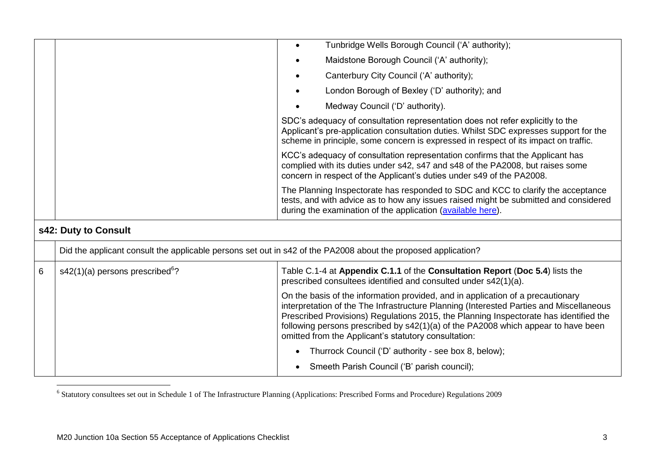|   |                                                                                                               | Tunbridge Wells Borough Council ('A' authority);<br>$\bullet$                                                                                                                                                                                                                                                                                                                                                    |
|---|---------------------------------------------------------------------------------------------------------------|------------------------------------------------------------------------------------------------------------------------------------------------------------------------------------------------------------------------------------------------------------------------------------------------------------------------------------------------------------------------------------------------------------------|
|   |                                                                                                               | Maidstone Borough Council ('A' authority);                                                                                                                                                                                                                                                                                                                                                                       |
|   |                                                                                                               | Canterbury City Council ('A' authority);<br>$\bullet$                                                                                                                                                                                                                                                                                                                                                            |
|   |                                                                                                               | London Borough of Bexley ('D' authority); and                                                                                                                                                                                                                                                                                                                                                                    |
|   |                                                                                                               | Medway Council ('D' authority).                                                                                                                                                                                                                                                                                                                                                                                  |
|   |                                                                                                               | SDC's adequacy of consultation representation does not refer explicitly to the<br>Applicant's pre-application consultation duties. Whilst SDC expresses support for the<br>scheme in principle, some concern is expressed in respect of its impact on traffic.                                                                                                                                                   |
|   |                                                                                                               | KCC's adequacy of consultation representation confirms that the Applicant has<br>complied with its duties under s42, s47 and s48 of the PA2008, but raises some<br>concern in respect of the Applicant's duties under s49 of the PA2008.                                                                                                                                                                         |
|   |                                                                                                               | The Planning Inspectorate has responded to SDC and KCC to clarify the acceptance<br>tests, and with advice as to how any issues raised might be submitted and considered<br>during the examination of the application (available here).                                                                                                                                                                          |
|   | s42: Duty to Consult                                                                                          |                                                                                                                                                                                                                                                                                                                                                                                                                  |
|   | Did the applicant consult the applicable persons set out in s42 of the PA2008 about the proposed application? |                                                                                                                                                                                                                                                                                                                                                                                                                  |
| 6 | $s42(1)(a)$ persons prescribed <sup>6</sup> ?                                                                 | Table C.1-4 at Appendix C.1.1 of the Consultation Report (Doc 5.4) lists the<br>prescribed consultees identified and consulted under s42(1)(a).                                                                                                                                                                                                                                                                  |
|   |                                                                                                               | On the basis of the information provided, and in application of a precautionary<br>interpretation of the The Infrastructure Planning (Interested Parties and Miscellaneous<br>Prescribed Provisions) Regulations 2015, the Planning Inspectorate has identified the<br>following persons prescribed by s42(1)(a) of the PA2008 which appear to have been<br>omitted from the Applicant's statutory consultation: |
|   |                                                                                                               | Thurrock Council ('D' authority - see box 8, below);<br>$\bullet$                                                                                                                                                                                                                                                                                                                                                |
|   |                                                                                                               | Smeeth Parish Council ('B' parish council);                                                                                                                                                                                                                                                                                                                                                                      |

 6 Statutory consultees set out in Schedule 1 of The Infrastructure Planning (Applications: Prescribed Forms and Procedure) Regulations 2009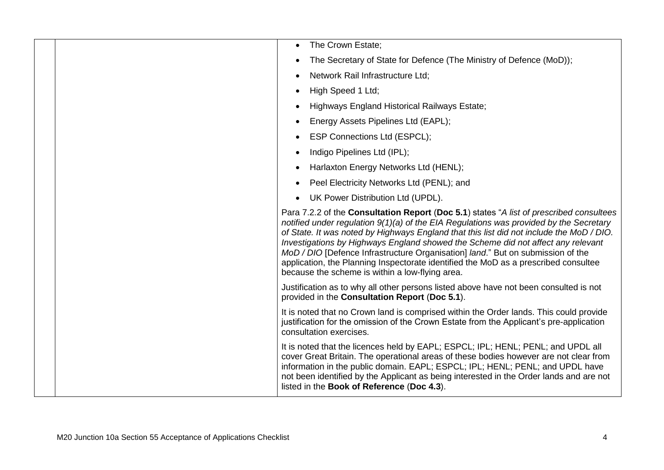|  | The Crown Estate;<br>$\bullet$                                                                                                                                                                                                                                                                                                                                                                                                                                                                                                                                                                 |
|--|------------------------------------------------------------------------------------------------------------------------------------------------------------------------------------------------------------------------------------------------------------------------------------------------------------------------------------------------------------------------------------------------------------------------------------------------------------------------------------------------------------------------------------------------------------------------------------------------|
|  | The Secretary of State for Defence (The Ministry of Defence (MoD));<br>$\bullet$                                                                                                                                                                                                                                                                                                                                                                                                                                                                                                               |
|  | Network Rail Infrastructure Ltd;<br>$\bullet$                                                                                                                                                                                                                                                                                                                                                                                                                                                                                                                                                  |
|  | High Speed 1 Ltd;                                                                                                                                                                                                                                                                                                                                                                                                                                                                                                                                                                              |
|  | Highways England Historical Railways Estate;<br>$\bullet$                                                                                                                                                                                                                                                                                                                                                                                                                                                                                                                                      |
|  | Energy Assets Pipelines Ltd (EAPL);<br>٠                                                                                                                                                                                                                                                                                                                                                                                                                                                                                                                                                       |
|  | ESP Connections Ltd (ESPCL);<br>٠                                                                                                                                                                                                                                                                                                                                                                                                                                                                                                                                                              |
|  | Indigo Pipelines Ltd (IPL);<br>$\bullet$                                                                                                                                                                                                                                                                                                                                                                                                                                                                                                                                                       |
|  | Harlaxton Energy Networks Ltd (HENL);<br>$\bullet$                                                                                                                                                                                                                                                                                                                                                                                                                                                                                                                                             |
|  | Peel Electricity Networks Ltd (PENL); and<br>$\bullet$                                                                                                                                                                                                                                                                                                                                                                                                                                                                                                                                         |
|  | UK Power Distribution Ltd (UPDL).<br>$\bullet$                                                                                                                                                                                                                                                                                                                                                                                                                                                                                                                                                 |
|  | Para 7.2.2 of the Consultation Report (Doc 5.1) states "A list of prescribed consultees<br>notified under regulation 9(1)(a) of the EIA Regulations was provided by the Secretary<br>of State. It was noted by Highways England that this list did not include the MoD / DIO.<br>Investigations by Highways England showed the Scheme did not affect any relevant<br>MoD / DIO [Defence Infrastructure Organisation] land." But on submission of the<br>application, the Planning Inspectorate identified the MoD as a prescribed consultee<br>because the scheme is within a low-flying area. |
|  | Justification as to why all other persons listed above have not been consulted is not<br>provided in the Consultation Report (Doc 5.1).                                                                                                                                                                                                                                                                                                                                                                                                                                                        |
|  | It is noted that no Crown land is comprised within the Order lands. This could provide<br>justification for the omission of the Crown Estate from the Applicant's pre-application<br>consultation exercises.                                                                                                                                                                                                                                                                                                                                                                                   |
|  | It is noted that the licences held by EAPL; ESPCL; IPL; HENL; PENL; and UPDL all<br>cover Great Britain. The operational areas of these bodies however are not clear from<br>information in the public domain. EAPL; ESPCL; IPL; HENL; PENL; and UPDL have<br>not been identified by the Applicant as being interested in the Order lands and are not<br>listed in the Book of Reference (Doc 4.3).                                                                                                                                                                                            |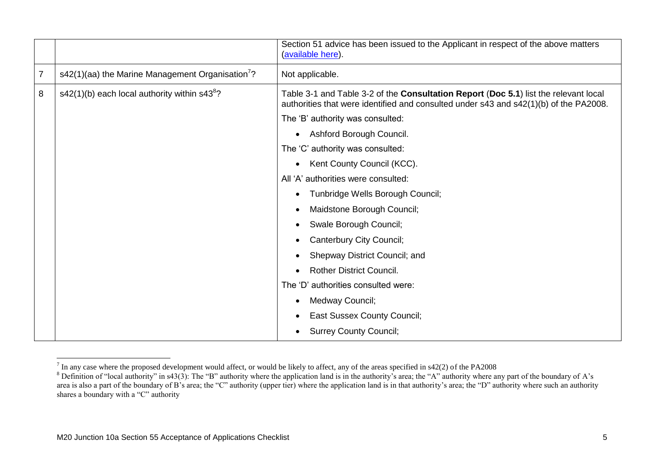|                |                                                              | Section 51 advice has been issued to the Applicant in respect of the above matters<br>(available here).                                                                       |  |
|----------------|--------------------------------------------------------------|-------------------------------------------------------------------------------------------------------------------------------------------------------------------------------|--|
| $\overline{7}$ | s42(1)(aa) the Marine Management Organisation <sup>7</sup> ? | Not applicable.                                                                                                                                                               |  |
| 8              | s42(1)(b) each local authority within s43 <sup>8</sup> ?     | Table 3-1 and Table 3-2 of the Consultation Report (Doc 5.1) list the relevant local<br>authorities that were identified and consulted under s43 and s42(1)(b) of the PA2008. |  |
|                |                                                              | The 'B' authority was consulted:                                                                                                                                              |  |
|                |                                                              | Ashford Borough Council.<br>$\bullet$                                                                                                                                         |  |
|                |                                                              | The 'C' authority was consulted:                                                                                                                                              |  |
|                |                                                              | Kent County Council (KCC).<br>$\bullet$                                                                                                                                       |  |
|                |                                                              | All 'A' authorities were consulted:                                                                                                                                           |  |
|                |                                                              | Tunbridge Wells Borough Council;<br>$\bullet$                                                                                                                                 |  |
|                |                                                              | Maidstone Borough Council;                                                                                                                                                    |  |
|                |                                                              | Swale Borough Council;<br>$\bullet$                                                                                                                                           |  |
|                |                                                              | Canterbury City Council;<br>$\bullet$                                                                                                                                         |  |
|                |                                                              | Shepway District Council; and<br>$\bullet$                                                                                                                                    |  |
|                |                                                              | <b>Rother District Council.</b>                                                                                                                                               |  |
|                |                                                              | The 'D' authorities consulted were:                                                                                                                                           |  |
|                |                                                              | Medway Council;<br>$\bullet$                                                                                                                                                  |  |
|                |                                                              | <b>East Sussex County Council;</b><br>$\bullet$                                                                                                                               |  |
|                |                                                              | <b>Surrey County Council;</b>                                                                                                                                                 |  |

The any case where the proposed development would affect, or would be likely to affect, any of the areas specified in s42(2) of the PA2008

<sup>&</sup>lt;sup>8</sup> Definition of "local authority" in s43(3): The "B" authority where the application land is in the authority's area; the "A" authority where any part of the boundary of A's area is also a part of the boundary of B's area; the "C" authority (upper tier) where the application land is in that authority's area; the "D" authority where such an authority shares a boundary with a "C" authority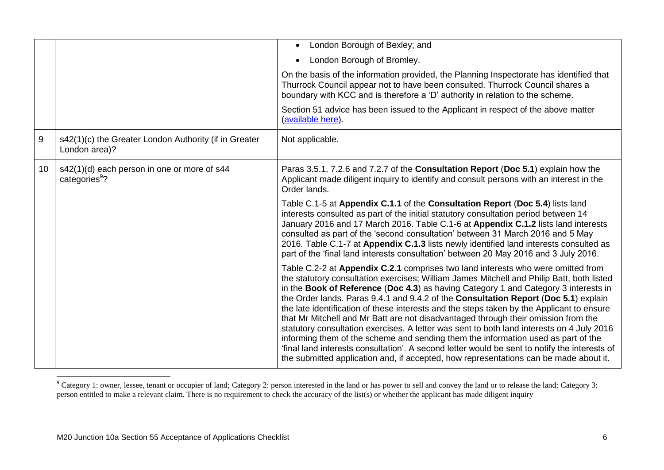|                  |                                                                          | London Borough of Bexley; and                                                                                                                                                                                                                                                                                                                                                                                                                                                                                                                                                                                                                                                                                                                                                                                                                                                                                              |
|------------------|--------------------------------------------------------------------------|----------------------------------------------------------------------------------------------------------------------------------------------------------------------------------------------------------------------------------------------------------------------------------------------------------------------------------------------------------------------------------------------------------------------------------------------------------------------------------------------------------------------------------------------------------------------------------------------------------------------------------------------------------------------------------------------------------------------------------------------------------------------------------------------------------------------------------------------------------------------------------------------------------------------------|
|                  |                                                                          | London Borough of Bromley.<br>$\bullet$                                                                                                                                                                                                                                                                                                                                                                                                                                                                                                                                                                                                                                                                                                                                                                                                                                                                                    |
|                  |                                                                          | On the basis of the information provided, the Planning Inspectorate has identified that<br>Thurrock Council appear not to have been consulted. Thurrock Council shares a<br>boundary with KCC and is therefore a 'D' authority in relation to the scheme.                                                                                                                                                                                                                                                                                                                                                                                                                                                                                                                                                                                                                                                                  |
|                  |                                                                          | Section 51 advice has been issued to the Applicant in respect of the above matter<br>(available here).                                                                                                                                                                                                                                                                                                                                                                                                                                                                                                                                                                                                                                                                                                                                                                                                                     |
| $\boldsymbol{9}$ | s42(1)(c) the Greater London Authority (if in Greater<br>London area)?   | Not applicable.                                                                                                                                                                                                                                                                                                                                                                                                                                                                                                                                                                                                                                                                                                                                                                                                                                                                                                            |
| 10 <sup>°</sup>  | s42(1)(d) each person in one or more of s44<br>categories <sup>9</sup> ? | Paras 3.5.1, 7.2.6 and 7.2.7 of the Consultation Report (Doc 5.1) explain how the<br>Applicant made diligent inquiry to identify and consult persons with an interest in the<br>Order lands.                                                                                                                                                                                                                                                                                                                                                                                                                                                                                                                                                                                                                                                                                                                               |
|                  |                                                                          | Table C.1-5 at Appendix C.1.1 of the Consultation Report (Doc 5.4) lists land<br>interests consulted as part of the initial statutory consultation period between 14<br>January 2016 and 17 March 2016. Table C.1-6 at Appendix C.1.2 lists land interests<br>consulted as part of the 'second consultation' between 31 March 2016 and 5 May<br>2016. Table C.1-7 at Appendix C.1.3 lists newly identified land interests consulted as<br>part of the 'final land interests consultation' between 20 May 2016 and 3 July 2016.                                                                                                                                                                                                                                                                                                                                                                                             |
|                  |                                                                          | Table C.2-2 at Appendix C.2.1 comprises two land interests who were omitted from<br>the statutory consultation exercises; William James Mitchell and Philip Batt, both listed<br>in the Book of Reference (Doc 4.3) as having Category 1 and Category 3 interests in<br>the Order lands. Paras 9.4.1 and 9.4.2 of the Consultation Report (Doc 5.1) explain<br>the late identification of these interests and the steps taken by the Applicant to ensure<br>that Mr Mitchell and Mr Batt are not disadvantaged through their omission from the<br>statutory consultation exercises. A letter was sent to both land interests on 4 July 2016<br>informing them of the scheme and sending them the information used as part of the<br>'final land interests consultation'. A second letter would be sent to notify the interests of<br>the submitted application and, if accepted, how representations can be made about it. |

 $^9$  Category 1: owner, lessee, tenant or occupier of land; Category 2: person interested in the land or has power to sell and convey the land or to release the land; Category 3: person entitled to make a relevant claim. There is no requirement to check the accuracy of the list(s) or whether the applicant has made diligent inquiry

1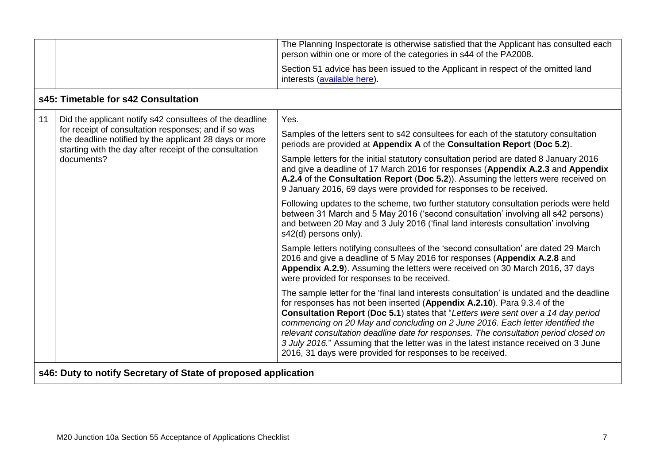|                                                                                                                                                                           | The Planning Inspectorate is otherwise satisfied that the Applicant has consulted each<br>person within one or more of the categories in s44 of the PA2008.                                                                                                                                                                                                                                                                                                                                                                                                                               |
|---------------------------------------------------------------------------------------------------------------------------------------------------------------------------|-------------------------------------------------------------------------------------------------------------------------------------------------------------------------------------------------------------------------------------------------------------------------------------------------------------------------------------------------------------------------------------------------------------------------------------------------------------------------------------------------------------------------------------------------------------------------------------------|
|                                                                                                                                                                           | Section 51 advice has been issued to the Applicant in respect of the omitted land<br>interests (available here).                                                                                                                                                                                                                                                                                                                                                                                                                                                                          |
| s45: Timetable for s42 Consultation                                                                                                                                       |                                                                                                                                                                                                                                                                                                                                                                                                                                                                                                                                                                                           |
| Did the applicant notify s42 consultees of the deadline                                                                                                                   | Yes.                                                                                                                                                                                                                                                                                                                                                                                                                                                                                                                                                                                      |
| for receipt of consultation responses; and if so was<br>the deadline notified by the applicant 28 days or more<br>starting with the day after receipt of the consultation | Samples of the letters sent to s42 consultees for each of the statutory consultation<br>periods are provided at Appendix A of the Consultation Report (Doc 5.2).                                                                                                                                                                                                                                                                                                                                                                                                                          |
| documents?                                                                                                                                                                | Sample letters for the initial statutory consultation period are dated 8 January 2016<br>and give a deadline of 17 March 2016 for responses (Appendix A.2.3 and Appendix<br>A.2.4 of the Consultation Report (Doc 5.2)). Assuming the letters were received on<br>9 January 2016, 69 days were provided for responses to be received.                                                                                                                                                                                                                                                     |
|                                                                                                                                                                           | Following updates to the scheme, two further statutory consultation periods were held<br>between 31 March and 5 May 2016 ('second consultation' involving all s42 persons)<br>and between 20 May and 3 July 2016 ('final land interests consultation' involving<br>s42(d) persons only).                                                                                                                                                                                                                                                                                                  |
|                                                                                                                                                                           | Sample letters notifying consultees of the 'second consultation' are dated 29 March<br>2016 and give a deadline of 5 May 2016 for responses (Appendix A.2.8 and<br>Appendix A.2.9). Assuming the letters were received on 30 March 2016, 37 days<br>were provided for responses to be received.                                                                                                                                                                                                                                                                                           |
|                                                                                                                                                                           | The sample letter for the 'final land interests consultation' is undated and the deadline<br>for responses has not been inserted (Appendix A.2.10). Para 9.3.4 of the<br>Consultation Report (Doc 5.1) states that "Letters were sent over a 14 day period<br>commencing on 20 May and concluding on 2 June 2016. Each letter identified the<br>relevant consultation deadline date for responses. The consultation period closed on<br>3 July 2016." Assuming that the letter was in the latest instance received on 3 June<br>2016, 31 days were provided for responses to be received. |
| s46: Duty to notify Secretary of State of proposed application                                                                                                            |                                                                                                                                                                                                                                                                                                                                                                                                                                                                                                                                                                                           |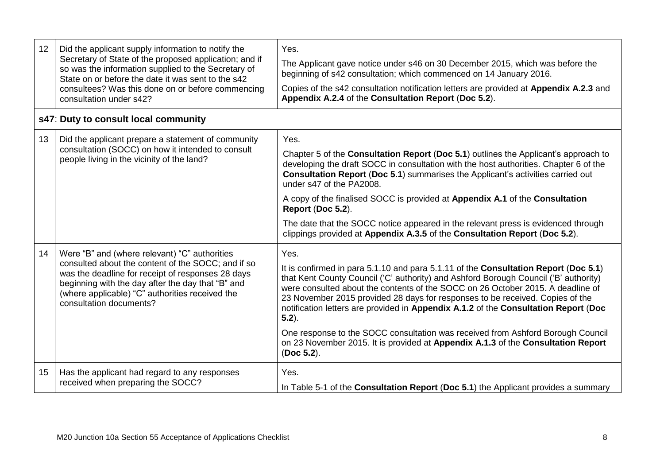| 12 | Did the applicant supply information to notify the<br>Secretary of State of the proposed application; and if<br>so was the information supplied to the Secretary of<br>State on or before the date it was sent to the s42<br>consultees? Was this done on or before commencing<br>consultation under s42? | Yes.<br>The Applicant gave notice under s46 on 30 December 2015, which was before the<br>beginning of s42 consultation; which commenced on 14 January 2016.<br>Copies of the s42 consultation notification letters are provided at Appendix A.2.3 and<br>Appendix A.2.4 of the Consultation Report (Doc 5.2).                                                                                                                                                                                                                                                                                                                                   |
|----|-----------------------------------------------------------------------------------------------------------------------------------------------------------------------------------------------------------------------------------------------------------------------------------------------------------|-------------------------------------------------------------------------------------------------------------------------------------------------------------------------------------------------------------------------------------------------------------------------------------------------------------------------------------------------------------------------------------------------------------------------------------------------------------------------------------------------------------------------------------------------------------------------------------------------------------------------------------------------|
|    | s47: Duty to consult local community                                                                                                                                                                                                                                                                      |                                                                                                                                                                                                                                                                                                                                                                                                                                                                                                                                                                                                                                                 |
| 13 | Did the applicant prepare a statement of community<br>consultation (SOCC) on how it intended to consult<br>people living in the vicinity of the land?                                                                                                                                                     | Yes.<br>Chapter 5 of the <b>Consultation Report</b> (Doc 5.1) outlines the Applicant's approach to<br>developing the draft SOCC in consultation with the host authorities. Chapter 6 of the<br><b>Consultation Report (Doc 5.1)</b> summarises the Applicant's activities carried out<br>under s47 of the PA2008.<br>A copy of the finalised SOCC is provided at Appendix A.1 of the Consultation<br>Report (Doc 5.2).<br>The date that the SOCC notice appeared in the relevant press is evidenced through<br>clippings provided at Appendix A.3.5 of the Consultation Report (Doc 5.2).                                                       |
| 14 | Were "B" and (where relevant) "C" authorities<br>consulted about the content of the SOCC; and if so<br>was the deadline for receipt of responses 28 days<br>beginning with the day after the day that "B" and<br>(where applicable) "C" authorities received the<br>consultation documents?               | Yes.<br>It is confirmed in para 5.1.10 and para 5.1.11 of the Consultation Report (Doc 5.1)<br>that Kent County Council ('C' authority) and Ashford Borough Council ('B' authority)<br>were consulted about the contents of the SOCC on 26 October 2015. A deadline of<br>23 November 2015 provided 28 days for responses to be received. Copies of the<br>notification letters are provided in Appendix A.1.2 of the Consultation Report (Doc<br>$5.2$ ).<br>One response to the SOCC consultation was received from Ashford Borough Council<br>on 23 November 2015. It is provided at Appendix A.1.3 of the Consultation Report<br>(Doc 5.2). |
| 15 | Has the applicant had regard to any responses<br>received when preparing the SOCC?                                                                                                                                                                                                                        | Yes.<br>In Table 5-1 of the <b>Consultation Report (Doc 5.1)</b> the Applicant provides a summary                                                                                                                                                                                                                                                                                                                                                                                                                                                                                                                                               |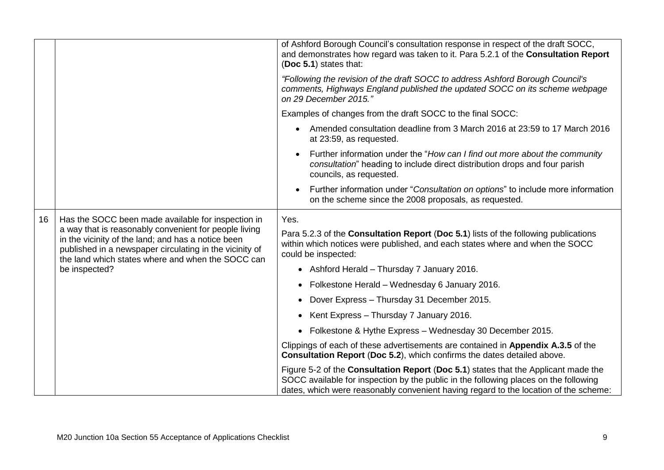|    |                                                                                                                                                                                                                                              | of Ashford Borough Council's consultation response in respect of the draft SOCC,<br>and demonstrates how regard was taken to it. Para 5.2.1 of the Consultation Report<br>(Doc 5.1) states that:                                                                   |                                         |
|----|----------------------------------------------------------------------------------------------------------------------------------------------------------------------------------------------------------------------------------------------|--------------------------------------------------------------------------------------------------------------------------------------------------------------------------------------------------------------------------------------------------------------------|-----------------------------------------|
|    |                                                                                                                                                                                                                                              | "Following the revision of the draft SOCC to address Ashford Borough Council's<br>comments, Highways England published the updated SOCC on its scheme webpage<br>on 29 December 2015."                                                                             |                                         |
|    |                                                                                                                                                                                                                                              | Examples of changes from the draft SOCC to the final SOCC:                                                                                                                                                                                                         |                                         |
|    |                                                                                                                                                                                                                                              | Amended consultation deadline from 3 March 2016 at 23:59 to 17 March 2016<br>$\bullet$<br>at 23:59, as requested.                                                                                                                                                  |                                         |
|    |                                                                                                                                                                                                                                              | Further information under the "How can I find out more about the community<br>$\bullet$<br>consultation" heading to include direct distribution drops and four parish<br>councils, as requested.                                                                   |                                         |
|    |                                                                                                                                                                                                                                              | Further information under "Consultation on options" to include more information<br>on the scheme since the 2008 proposals, as requested.                                                                                                                           |                                         |
| 16 | Has the SOCC been made available for inspection in                                                                                                                                                                                           | Yes.                                                                                                                                                                                                                                                               |                                         |
|    | a way that is reasonably convenient for people living<br>in the vicinity of the land; and has a notice been<br>published in a newspaper circulating in the vicinity of<br>the land which states where and when the SOCC can<br>be inspected? | Para 5.2.3 of the Consultation Report (Doc 5.1) lists of the following publications<br>within which notices were published, and each states where and when the SOCC<br>could be inspected:                                                                         |                                         |
|    |                                                                                                                                                                                                                                              | • Ashford Herald - Thursday 7 January 2016.                                                                                                                                                                                                                        |                                         |
|    |                                                                                                                                                                                                                                              | Folkestone Herald - Wednesday 6 January 2016.                                                                                                                                                                                                                      |                                         |
|    |                                                                                                                                                                                                                                              | Dover Express - Thursday 31 December 2015.                                                                                                                                                                                                                         |                                         |
|    |                                                                                                                                                                                                                                              |                                                                                                                                                                                                                                                                    | Kent Express - Thursday 7 January 2016. |
|    |                                                                                                                                                                                                                                              | • Folkestone & Hythe Express - Wednesday 30 December 2015.                                                                                                                                                                                                         |                                         |
|    |                                                                                                                                                                                                                                              | Clippings of each of these advertisements are contained in Appendix A.3.5 of the<br>Consultation Report (Doc 5.2), which confirms the dates detailed above.                                                                                                        |                                         |
|    |                                                                                                                                                                                                                                              | Figure 5-2 of the Consultation Report (Doc 5.1) states that the Applicant made the<br>SOCC available for inspection by the public in the following places on the following<br>dates, which were reasonably convenient having regard to the location of the scheme: |                                         |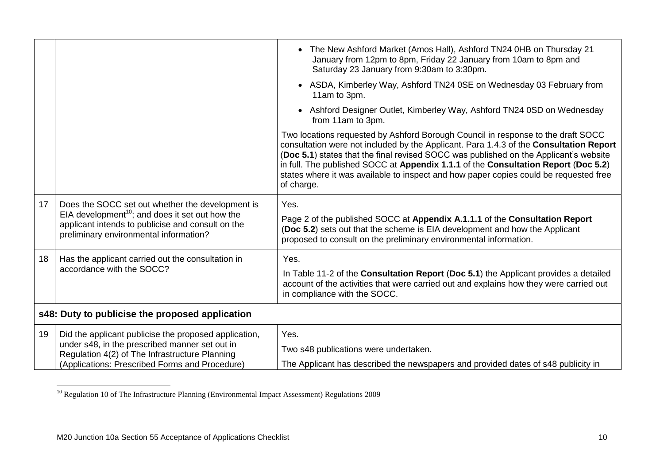|    |                                                                                                                                                                                                                | • The New Ashford Market (Amos Hall), Ashford TN24 0HB on Thursday 21<br>January from 12pm to 8pm, Friday 22 January from 10am to 8pm and<br>Saturday 23 January from 9:30am to 3:30pm.                                                                                                                                                                                                                                                                          |
|----|----------------------------------------------------------------------------------------------------------------------------------------------------------------------------------------------------------------|------------------------------------------------------------------------------------------------------------------------------------------------------------------------------------------------------------------------------------------------------------------------------------------------------------------------------------------------------------------------------------------------------------------------------------------------------------------|
|    |                                                                                                                                                                                                                | ASDA, Kimberley Way, Ashford TN24 0SE on Wednesday 03 February from<br>11am to 3pm.                                                                                                                                                                                                                                                                                                                                                                              |
|    |                                                                                                                                                                                                                | Ashford Designer Outlet, Kimberley Way, Ashford TN24 0SD on Wednesday<br>from 11am to 3pm.                                                                                                                                                                                                                                                                                                                                                                       |
|    |                                                                                                                                                                                                                | Two locations requested by Ashford Borough Council in response to the draft SOCC<br>consultation were not included by the Applicant. Para 1.4.3 of the Consultation Report<br>(Doc 5.1) states that the final revised SOCC was published on the Applicant's website<br>in full. The published SOCC at Appendix 1.1.1 of the Consultation Report (Doc 5.2)<br>states where it was available to inspect and how paper copies could be requested free<br>of charge. |
| 17 | Does the SOCC set out whether the development is<br>EIA development <sup>10</sup> ; and does it set out how the<br>applicant intends to publicise and consult on the<br>preliminary environmental information? | Yes.<br>Page 2 of the published SOCC at Appendix A.1.1.1 of the Consultation Report<br>(Doc 5.2) sets out that the scheme is EIA development and how the Applicant<br>proposed to consult on the preliminary environmental information.                                                                                                                                                                                                                          |
|    |                                                                                                                                                                                                                |                                                                                                                                                                                                                                                                                                                                                                                                                                                                  |
| 18 | Has the applicant carried out the consultation in<br>accordance with the SOCC?                                                                                                                                 | Yes.                                                                                                                                                                                                                                                                                                                                                                                                                                                             |
|    |                                                                                                                                                                                                                | In Table 11-2 of the Consultation Report (Doc 5.1) the Applicant provides a detailed<br>account of the activities that were carried out and explains how they were carried out<br>in compliance with the SOCC.                                                                                                                                                                                                                                                   |
|    | s48: Duty to publicise the proposed application                                                                                                                                                                |                                                                                                                                                                                                                                                                                                                                                                                                                                                                  |
| 19 | Did the applicant publicise the proposed application,                                                                                                                                                          | Yes.                                                                                                                                                                                                                                                                                                                                                                                                                                                             |
|    | under s48, in the prescribed manner set out in<br>Regulation 4(2) of The Infrastructure Planning                                                                                                               | Two s48 publications were undertaken.                                                                                                                                                                                                                                                                                                                                                                                                                            |
|    | (Applications: Prescribed Forms and Procedure)                                                                                                                                                                 | The Applicant has described the newspapers and provided dates of s48 publicity in                                                                                                                                                                                                                                                                                                                                                                                |

<sup>1</sup> <sup>10</sup> Regulation 10 of The Infrastructure Planning (Environmental Impact Assessment) Regulations 2009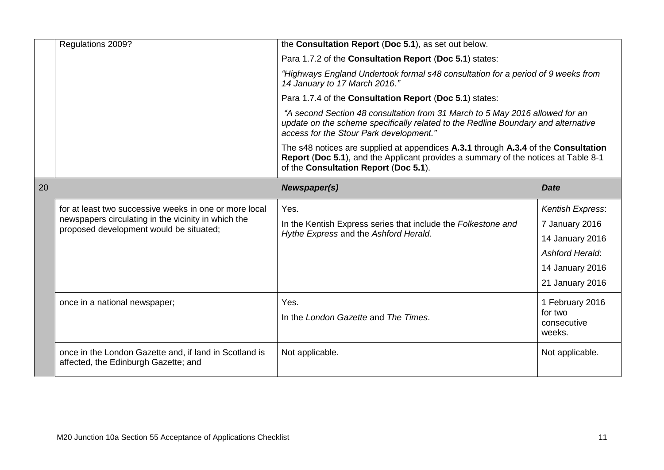|    | Regulations 2009?                                                                                                                                        | the Consultation Report (Doc 5.1), as set out below.                                                                                                                                                              |                                                                                                                       |  |  |
|----|----------------------------------------------------------------------------------------------------------------------------------------------------------|-------------------------------------------------------------------------------------------------------------------------------------------------------------------------------------------------------------------|-----------------------------------------------------------------------------------------------------------------------|--|--|
|    |                                                                                                                                                          | Para 1.7.2 of the Consultation Report (Doc 5.1) states:                                                                                                                                                           |                                                                                                                       |  |  |
|    |                                                                                                                                                          | "Highways England Undertook formal s48 consultation for a period of 9 weeks from<br>14 January to 17 March 2016."<br>Para 1.7.4 of the Consultation Report (Doc 5.1) states:                                      |                                                                                                                       |  |  |
|    |                                                                                                                                                          |                                                                                                                                                                                                                   |                                                                                                                       |  |  |
|    |                                                                                                                                                          | "A second Section 48 consultation from 31 March to 5 May 2016 allowed for an<br>update on the scheme specifically related to the Redline Boundary and alternative<br>access for the Stour Park development."      |                                                                                                                       |  |  |
|    |                                                                                                                                                          | The s48 notices are supplied at appendices A.3.1 through A.3.4 of the Consultation<br>Report (Doc 5.1), and the Applicant provides a summary of the notices at Table 8-1<br>of the Consultation Report (Doc 5.1). |                                                                                                                       |  |  |
| 20 |                                                                                                                                                          | Newspaper(s)                                                                                                                                                                                                      | <b>Date</b>                                                                                                           |  |  |
|    | for at least two successive weeks in one or more local<br>newspapers circulating in the vicinity in which the<br>proposed development would be situated; | Yes.<br>In the Kentish Express series that include the Folkestone and<br>Hythe Express and the Ashford Herald.                                                                                                    | Kentish Express:<br>7 January 2016<br>14 January 2016<br><b>Ashford Herald:</b><br>14 January 2016<br>21 January 2016 |  |  |
|    | once in a national newspaper;                                                                                                                            | Yes.<br>In the London Gazette and The Times.                                                                                                                                                                      | 1 February 2016<br>for two<br>consecutive<br>weeks.                                                                   |  |  |
|    | once in the London Gazette and, if land in Scotland is<br>affected, the Edinburgh Gazette; and                                                           | Not applicable.                                                                                                                                                                                                   | Not applicable.                                                                                                       |  |  |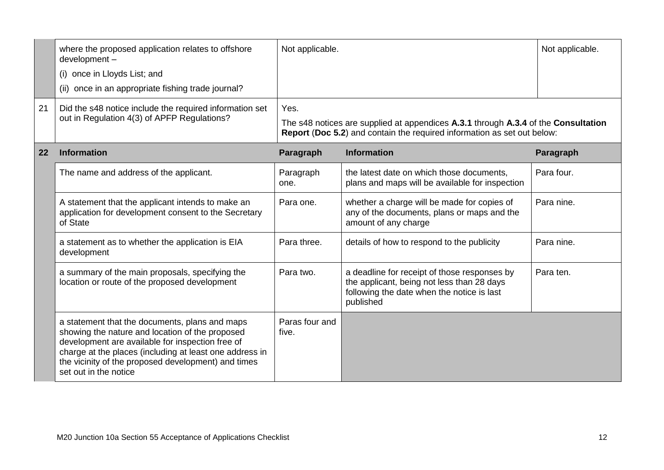|    | where the proposed application relates to offshore<br>development-                                                                                                                                                                                                                               | Not applicable.         |                                                                                                                                                               | Not applicable. |
|----|--------------------------------------------------------------------------------------------------------------------------------------------------------------------------------------------------------------------------------------------------------------------------------------------------|-------------------------|---------------------------------------------------------------------------------------------------------------------------------------------------------------|-----------------|
|    | (i) once in Lloyds List; and                                                                                                                                                                                                                                                                     |                         |                                                                                                                                                               |                 |
|    | (ii) once in an appropriate fishing trade journal?                                                                                                                                                                                                                                               |                         |                                                                                                                                                               |                 |
| 21 | Did the s48 notice include the required information set                                                                                                                                                                                                                                          | Yes.                    |                                                                                                                                                               |                 |
|    | out in Regulation 4(3) of APFP Regulations?                                                                                                                                                                                                                                                      |                         | The s48 notices are supplied at appendices A.3.1 through A.3.4 of the Consultation<br>Report (Doc 5.2) and contain the required information as set out below: |                 |
| 22 | <b>Information</b>                                                                                                                                                                                                                                                                               | Paragraph               | <b>Information</b>                                                                                                                                            | Paragraph       |
|    | The name and address of the applicant.                                                                                                                                                                                                                                                           | Paragraph<br>one.       | the latest date on which those documents,<br>plans and maps will be available for inspection                                                                  | Para four.      |
|    | A statement that the applicant intends to make an<br>application for development consent to the Secretary<br>of State                                                                                                                                                                            | Para one.               | whether a charge will be made for copies of<br>any of the documents, plans or maps and the<br>amount of any charge                                            | Para nine.      |
|    | a statement as to whether the application is EIA<br>development                                                                                                                                                                                                                                  | Para three.             | details of how to respond to the publicity                                                                                                                    | Para nine.      |
|    | a summary of the main proposals, specifying the<br>location or route of the proposed development                                                                                                                                                                                                 | Para two.               | a deadline for receipt of those responses by<br>the applicant, being not less than 28 days<br>following the date when the notice is last<br>published         | Para ten.       |
|    | a statement that the documents, plans and maps<br>showing the nature and location of the proposed<br>development are available for inspection free of<br>charge at the places (including at least one address in<br>the vicinity of the proposed development) and times<br>set out in the notice | Paras four and<br>five. |                                                                                                                                                               |                 |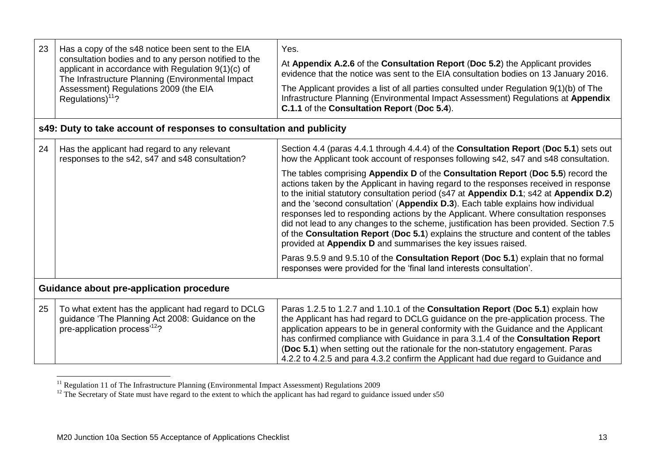| 23                                              | Has a copy of the s48 notice been sent to the EIA<br>consultation bodies and to any person notified to the<br>applicant in accordance with Regulation 9(1)(c) of<br>The Infrastructure Planning (Environmental Impact<br>Assessment) Regulations 2009 (the EIA<br>Regulations) $11$ ? | Yes.<br>At Appendix A.2.6 of the Consultation Report (Doc 5.2) the Applicant provides<br>evidence that the notice was sent to the EIA consultation bodies on 13 January 2016.<br>The Applicant provides a list of all parties consulted under Regulation 9(1)(b) of The<br>Infrastructure Planning (Environmental Impact Assessment) Regulations at Appendix<br>C.1.1 of the Consultation Report (Doc 5.4).                                                                                                                                                                                                                                                                                        |
|-------------------------------------------------|---------------------------------------------------------------------------------------------------------------------------------------------------------------------------------------------------------------------------------------------------------------------------------------|----------------------------------------------------------------------------------------------------------------------------------------------------------------------------------------------------------------------------------------------------------------------------------------------------------------------------------------------------------------------------------------------------------------------------------------------------------------------------------------------------------------------------------------------------------------------------------------------------------------------------------------------------------------------------------------------------|
|                                                 | s49: Duty to take account of responses to consultation and publicity                                                                                                                                                                                                                  |                                                                                                                                                                                                                                                                                                                                                                                                                                                                                                                                                                                                                                                                                                    |
| 24                                              | Has the applicant had regard to any relevant<br>responses to the s42, s47 and s48 consultation?                                                                                                                                                                                       | Section 4.4 (paras 4.4.1 through 4.4.4) of the <b>Consultation Report (Doc 5.1)</b> sets out<br>how the Applicant took account of responses following s42, s47 and s48 consultation.                                                                                                                                                                                                                                                                                                                                                                                                                                                                                                               |
|                                                 |                                                                                                                                                                                                                                                                                       | The tables comprising Appendix D of the Consultation Report (Doc 5.5) record the<br>actions taken by the Applicant in having regard to the responses received in response<br>to the initial statutory consultation period (s47 at Appendix D.1; s42 at Appendix D.2)<br>and the 'second consultation' (Appendix D.3). Each table explains how individual<br>responses led to responding actions by the Applicant. Where consultation responses<br>did not lead to any changes to the scheme, justification has been provided. Section 7.5<br>of the Consultation Report (Doc 5.1) explains the structure and content of the tables<br>provided at Appendix D and summarises the key issues raised. |
|                                                 |                                                                                                                                                                                                                                                                                       | Paras 9.5.9 and 9.5.10 of the Consultation Report (Doc 5.1) explain that no formal<br>responses were provided for the 'final land interests consultation'.                                                                                                                                                                                                                                                                                                                                                                                                                                                                                                                                         |
| <b>Guidance about pre-application procedure</b> |                                                                                                                                                                                                                                                                                       |                                                                                                                                                                                                                                                                                                                                                                                                                                                                                                                                                                                                                                                                                                    |
| 25                                              | To what extent has the applicant had regard to DCLG<br>guidance 'The Planning Act 2008: Guidance on the<br>pre-application process <sup>12</sup> ?                                                                                                                                    | Paras 1.2.5 to 1.2.7 and 1.10.1 of the Consultation Report (Doc 5.1) explain how<br>the Applicant has had regard to DCLG guidance on the pre-application process. The<br>application appears to be in general conformity with the Guidance and the Applicant<br>has confirmed compliance with Guidance in para 3.1.4 of the Consultation Report<br>(Doc 5.1) when setting out the rationale for the non-statutory engagement. Paras<br>4.2.2 to 4.2.5 and para 4.3.2 confirm the Applicant had due regard to Guidance and                                                                                                                                                                          |

<sup>&</sup>lt;sup>11</sup> Regulation 11 of The Infrastructure Planning (Environmental Impact Assessment) Regulations 2009

1

 $12$  The Secretary of State must have regard to the extent to which the applicant has had regard to guidance issued under  $s50$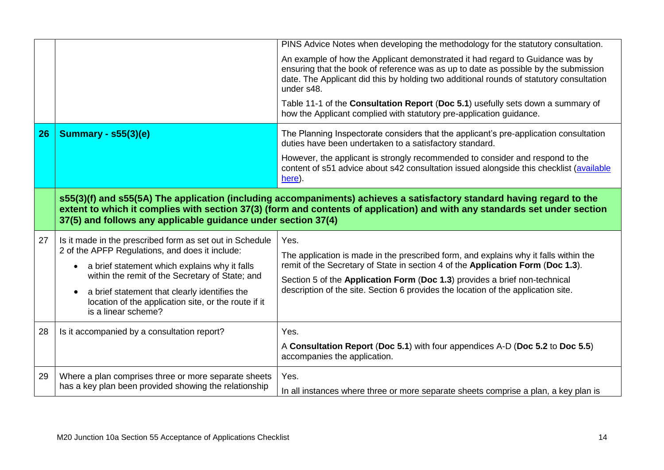|    |                                                                                                                                                                                                                                                                                                                                                              | PINS Advice Notes when developing the methodology for the statutory consultation.                                                                                                                                                                                                                                                                  |
|----|--------------------------------------------------------------------------------------------------------------------------------------------------------------------------------------------------------------------------------------------------------------------------------------------------------------------------------------------------------------|----------------------------------------------------------------------------------------------------------------------------------------------------------------------------------------------------------------------------------------------------------------------------------------------------------------------------------------------------|
|    |                                                                                                                                                                                                                                                                                                                                                              | An example of how the Applicant demonstrated it had regard to Guidance was by<br>ensuring that the book of reference was as up to date as possible by the submission<br>date. The Applicant did this by holding two additional rounds of statutory consultation<br>under s48.                                                                      |
|    |                                                                                                                                                                                                                                                                                                                                                              | Table 11-1 of the Consultation Report (Doc 5.1) usefully sets down a summary of<br>how the Applicant complied with statutory pre-application guidance.                                                                                                                                                                                             |
| 26 | <b>Summary - s55(3)(e)</b>                                                                                                                                                                                                                                                                                                                                   | The Planning Inspectorate considers that the applicant's pre-application consultation<br>duties have been undertaken to a satisfactory standard.                                                                                                                                                                                                   |
|    |                                                                                                                                                                                                                                                                                                                                                              | However, the applicant is strongly recommended to consider and respond to the<br>content of s51 advice about s42 consultation issued alongside this checklist (available<br>here).                                                                                                                                                                 |
|    | 37(5) and follows any applicable guidance under section 37(4)                                                                                                                                                                                                                                                                                                | s55(3)(f) and s55(5A) The application (including accompaniments) achieves a satisfactory standard having regard to the<br>extent to which it complies with section 37(3) (form and contents of application) and with any standards set under section                                                                                               |
| 27 | Is it made in the prescribed form as set out in Schedule<br>2 of the APFP Regulations, and does it include:<br>a brief statement which explains why it falls<br>$\bullet$<br>within the remit of the Secretary of State; and<br>a brief statement that clearly identifies the<br>location of the application site, or the route if it<br>is a linear scheme? | Yes.<br>The application is made in the prescribed form, and explains why it falls within the<br>remit of the Secretary of State in section 4 of the Application Form (Doc 1.3).<br>Section 5 of the Application Form (Doc 1.3) provides a brief non-technical<br>description of the site. Section 6 provides the location of the application site. |
| 28 | Is it accompanied by a consultation report?                                                                                                                                                                                                                                                                                                                  | Yes.<br>A Consultation Report (Doc 5.1) with four appendices A-D (Doc 5.2 to Doc 5.5)<br>accompanies the application.                                                                                                                                                                                                                              |
| 29 | Where a plan comprises three or more separate sheets                                                                                                                                                                                                                                                                                                         | Yes.                                                                                                                                                                                                                                                                                                                                               |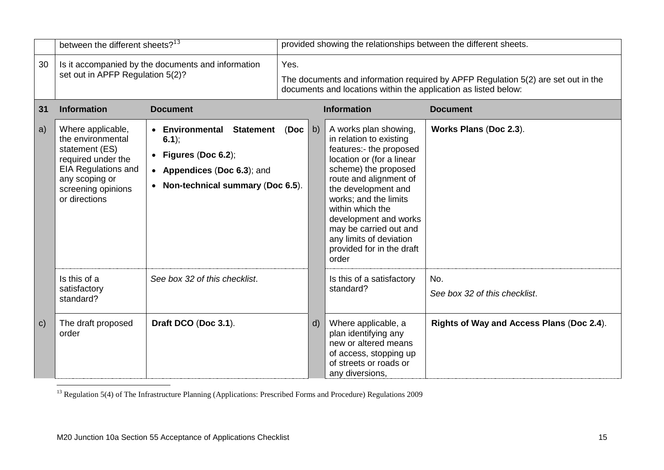|              | between the different sheets? <sup>13</sup>                                                                                                                           |                                                                                                                                         | provided showing the relationships between the different sheets.                                                                                             |              |                                                                                                                                                                                                                                                                                                                                                    |                                           |
|--------------|-----------------------------------------------------------------------------------------------------------------------------------------------------------------------|-----------------------------------------------------------------------------------------------------------------------------------------|--------------------------------------------------------------------------------------------------------------------------------------------------------------|--------------|----------------------------------------------------------------------------------------------------------------------------------------------------------------------------------------------------------------------------------------------------------------------------------------------------------------------------------------------------|-------------------------------------------|
| 30           | Is it accompanied by the documents and information<br>set out in APFP Regulation 5(2)?                                                                                |                                                                                                                                         | Yes.<br>The documents and information required by APFP Regulation 5(2) are set out in the<br>documents and locations within the application as listed below: |              |                                                                                                                                                                                                                                                                                                                                                    |                                           |
| 31           | <b>Information</b>                                                                                                                                                    | <b>Document</b>                                                                                                                         |                                                                                                                                                              |              | <b>Information</b>                                                                                                                                                                                                                                                                                                                                 | <b>Document</b>                           |
| a)           | Where applicable,<br>the environmental<br>statement (ES)<br>required under the<br><b>EIA Regulations and</b><br>any scoping or<br>screening opinions<br>or directions | <b>Statement</b><br>• Environmental<br>$6.1$ ;<br>Figures (Doc 6.2);<br>• Appendices (Doc 6.3); and<br>Non-technical summary (Doc 6.5). | (Doc)<br>b)                                                                                                                                                  |              | A works plan showing,<br>in relation to existing<br>features:- the proposed<br>location or (for a linear<br>scheme) the proposed<br>route and alignment of<br>the development and<br>works; and the limits<br>within which the<br>development and works<br>may be carried out and<br>any limits of deviation<br>provided for in the draft<br>order | Works Plans (Doc 2.3).                    |
|              | Is this of a<br>satisfactory<br>standard?                                                                                                                             | See box 32 of this checklist.                                                                                                           |                                                                                                                                                              |              | Is this of a satisfactory<br>standard?                                                                                                                                                                                                                                                                                                             | No.<br>See box 32 of this checklist.      |
| $\mathbf{C}$ | The draft proposed<br>order                                                                                                                                           | Draft DCO (Doc 3.1).                                                                                                                    |                                                                                                                                                              | $\mathsf{d}$ | Where applicable, a<br>plan identifying any<br>new or altered means<br>of access, stopping up<br>of streets or roads or<br>any diversions,                                                                                                                                                                                                         | Rights of Way and Access Plans (Doc 2.4). |

1  $13$  Regulation 5(4) of The Infrastructure Planning (Applications: Prescribed Forms and Procedure) Regulations 2009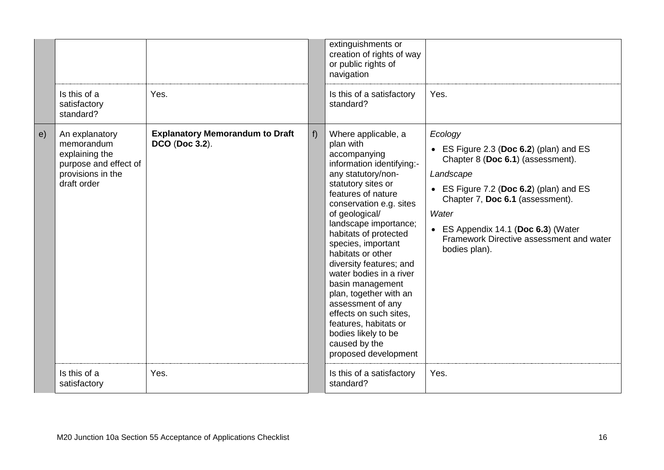|            |                                                                                                             |                                                          |    | extinguishments or<br>creation of rights of way<br>or public rights of<br>navigation                                                                                                                                                                                                                                                                                                                                                                                                                                                  |                                                                                                                                                                                                                                                                                                  |
|------------|-------------------------------------------------------------------------------------------------------------|----------------------------------------------------------|----|---------------------------------------------------------------------------------------------------------------------------------------------------------------------------------------------------------------------------------------------------------------------------------------------------------------------------------------------------------------------------------------------------------------------------------------------------------------------------------------------------------------------------------------|--------------------------------------------------------------------------------------------------------------------------------------------------------------------------------------------------------------------------------------------------------------------------------------------------|
|            | Is this of a<br>satisfactory<br>standard?                                                                   | Yes.                                                     |    | Is this of a satisfactory<br>standard?                                                                                                                                                                                                                                                                                                                                                                                                                                                                                                | Yes.                                                                                                                                                                                                                                                                                             |
| $\epsilon$ | An explanatory<br>memorandum<br>explaining the<br>purpose and effect of<br>provisions in the<br>draft order | <b>Explanatory Memorandum to Draft</b><br>DCO (Doc 3.2). | f) | Where applicable, a<br>plan with<br>accompanying<br>information identifying:-<br>any statutory/non-<br>statutory sites or<br>features of nature<br>conservation e.g. sites<br>of geological/<br>landscape importance;<br>habitats of protected<br>species, important<br>habitats or other<br>diversity features; and<br>water bodies in a river<br>basin management<br>plan, together with an<br>assessment of any<br>effects on such sites,<br>features, habitats or<br>bodies likely to be<br>caused by the<br>proposed development | Ecology<br>• ES Figure 2.3 (Doc 6.2) (plan) and ES<br>Chapter 8 (Doc 6.1) (assessment).<br>Landscape<br>• ES Figure 7.2 (Doc 6.2) (plan) and ES<br>Chapter 7, Doc 6.1 (assessment).<br>Water<br>• ES Appendix 14.1 (Doc 6.3) (Water<br>Framework Directive assessment and water<br>bodies plan). |
|            | Is this of a<br>satisfactory                                                                                | Yes.                                                     |    | Is this of a satisfactory<br>standard?                                                                                                                                                                                                                                                                                                                                                                                                                                                                                                | Yes.                                                                                                                                                                                                                                                                                             |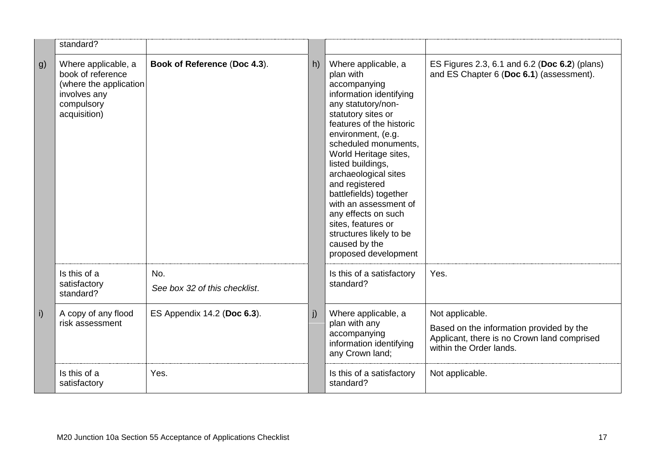|             | standard?                                                                                                        |                                      |    |                                                                                                                                                                                                                                                                                                                                                                                                                                                               |                                                                                                                                       |
|-------------|------------------------------------------------------------------------------------------------------------------|--------------------------------------|----|---------------------------------------------------------------------------------------------------------------------------------------------------------------------------------------------------------------------------------------------------------------------------------------------------------------------------------------------------------------------------------------------------------------------------------------------------------------|---------------------------------------------------------------------------------------------------------------------------------------|
| $ g\rangle$ | Where applicable, a<br>book of reference<br>(where the application<br>involves any<br>compulsory<br>acquisition) | Book of Reference (Doc 4.3).         | h) | Where applicable, a<br>plan with<br>accompanying<br>information identifying<br>any statutory/non-<br>statutory sites or<br>features of the historic<br>environment, (e.g.<br>scheduled monuments.<br>World Heritage sites,<br>listed buildings,<br>archaeological sites<br>and registered<br>battlefields) together<br>with an assessment of<br>any effects on such<br>sites, features or<br>structures likely to be<br>caused by the<br>proposed development | ES Figures 2.3, 6.1 and 6.2 (Doc 6.2) (plans)<br>and ES Chapter 6 (Doc 6.1) (assessment).                                             |
|             | Is this of a<br>satisfactory<br>standard?                                                                        | No.<br>See box 32 of this checklist. |    | Is this of a satisfactory<br>standard?                                                                                                                                                                                                                                                                                                                                                                                                                        | Yes.                                                                                                                                  |
| $\vert$ i)  | A copy of any flood<br>risk assessment                                                                           | ES Appendix 14.2 (Doc 6.3).          | j) | Where applicable, a<br>plan with any<br>accompanying<br>information identifying<br>any Crown land;                                                                                                                                                                                                                                                                                                                                                            | Not applicable.<br>Based on the information provided by the<br>Applicant, there is no Crown land comprised<br>within the Order lands. |
|             | Is this of a<br>satisfactory                                                                                     | Yes.                                 |    | Is this of a satisfactory<br>standard?                                                                                                                                                                                                                                                                                                                                                                                                                        | Not applicable.                                                                                                                       |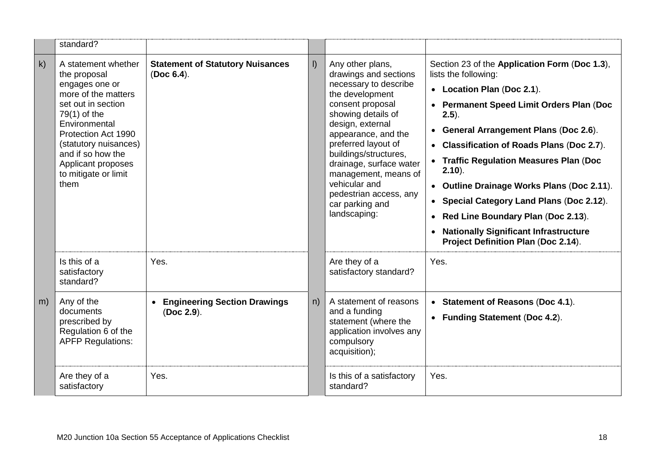|           | standard?                                                                                                                                                                                                                                                        |                                                       |         |                                                                                                                                                                                                                                                                                                                                                             |                                                                                                                                                                                                                                                                                                                                                                                                                                                                                                                                  |
|-----------|------------------------------------------------------------------------------------------------------------------------------------------------------------------------------------------------------------------------------------------------------------------|-------------------------------------------------------|---------|-------------------------------------------------------------------------------------------------------------------------------------------------------------------------------------------------------------------------------------------------------------------------------------------------------------------------------------------------------------|----------------------------------------------------------------------------------------------------------------------------------------------------------------------------------------------------------------------------------------------------------------------------------------------------------------------------------------------------------------------------------------------------------------------------------------------------------------------------------------------------------------------------------|
| k)        | A statement whether<br>the proposal<br>engages one or<br>more of the matters<br>set out in section<br>$79(1)$ of the<br>Environmental<br>Protection Act 1990<br>(statutory nuisances)<br>and if so how the<br>Applicant proposes<br>to mitigate or limit<br>them | <b>Statement of Statutory Nuisances</b><br>(Doc 6.4). | $\vert$ | Any other plans,<br>drawings and sections<br>necessary to describe<br>the development<br>consent proposal<br>showing details of<br>design, external<br>appearance, and the<br>preferred layout of<br>buildings/structures,<br>drainage, surface water<br>management, means of<br>vehicular and<br>pedestrian access, any<br>car parking and<br>landscaping: | Section 23 of the Application Form (Doc 1.3),<br>lists the following:<br>• Location Plan (Doc 2.1).<br>• Permanent Speed Limit Orders Plan (Doc<br>$2.5$ ).<br>• General Arrangement Plans (Doc 2.6).<br>• Classification of Roads Plans (Doc 2.7).<br>• Traffic Regulation Measures Plan (Doc<br>$2.10$ ).<br>• Outline Drainage Works Plans (Doc 2.11).<br>• Special Category Land Plans (Doc 2.12).<br>• Red Line Boundary Plan (Doc 2.13).<br>• Nationally Significant Infrastructure<br>Project Definition Plan (Doc 2.14). |
|           | Is this of a<br>satisfactory<br>standard?                                                                                                                                                                                                                        | Yes.                                                  |         | Are they of a<br>satisfactory standard?                                                                                                                                                                                                                                                                                                                     | Yes.                                                                                                                                                                                                                                                                                                                                                                                                                                                                                                                             |
| $\mid$ m) | Any of the<br>documents<br>prescribed by<br>Regulation 6 of the<br><b>APFP Regulations:</b>                                                                                                                                                                      | <b>Engineering Section Drawings</b><br>(Doc 2.9).     | n)      | A statement of reasons<br>and a funding<br>statement (where the<br>application involves any<br>compulsory<br>acquisition);                                                                                                                                                                                                                                  | • Statement of Reasons (Doc 4.1).<br>• Funding Statement (Doc 4.2).                                                                                                                                                                                                                                                                                                                                                                                                                                                              |
|           | Are they of a<br>satisfactory                                                                                                                                                                                                                                    | Yes.                                                  |         | Is this of a satisfactory<br>standard?                                                                                                                                                                                                                                                                                                                      | Yes.                                                                                                                                                                                                                                                                                                                                                                                                                                                                                                                             |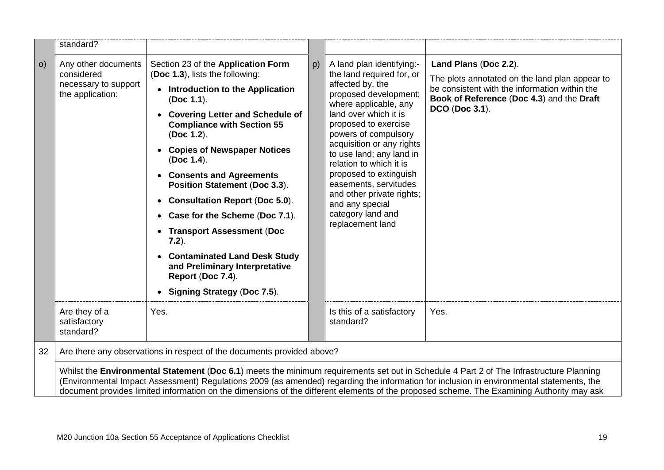|            | standard?                                                                                                                                                                                                                                                                                                                                                                                                                        |                                                                                                                                                                                                                                                                                                                                                                                                                                                                                                                                                                                                          |    |                                                                                                                                                                                                                                                                                                                                                                                                                                       |                                                                                                                                                                                         |
|------------|----------------------------------------------------------------------------------------------------------------------------------------------------------------------------------------------------------------------------------------------------------------------------------------------------------------------------------------------------------------------------------------------------------------------------------|----------------------------------------------------------------------------------------------------------------------------------------------------------------------------------------------------------------------------------------------------------------------------------------------------------------------------------------------------------------------------------------------------------------------------------------------------------------------------------------------------------------------------------------------------------------------------------------------------------|----|---------------------------------------------------------------------------------------------------------------------------------------------------------------------------------------------------------------------------------------------------------------------------------------------------------------------------------------------------------------------------------------------------------------------------------------|-----------------------------------------------------------------------------------------------------------------------------------------------------------------------------------------|
| $\vert$ O) | Any other documents<br>considered<br>necessary to support<br>the application:                                                                                                                                                                                                                                                                                                                                                    | Section 23 of the Application Form<br>(Doc 1.3), lists the following:<br><b>Introduction to the Application</b><br>(Doc 1.1).<br><b>Covering Letter and Schedule of</b><br><b>Compliance with Section 55</b><br>(Doc 1.2).<br><b>Copies of Newspaper Notices</b><br>(Doc 1.4).<br>• Consents and Agreements<br>Position Statement (Doc 3.3).<br><b>Consultation Report (Doc 5.0).</b><br>• Case for the Scheme (Doc 7.1).<br>• Transport Assessment (Doc<br>$7.2$ ).<br><b>Contaminated Land Desk Study</b><br>and Preliminary Interpretative<br>Report (Doc 7.4).<br><b>Signing Strategy (Doc 7.5).</b> | p) | A land plan identifying:-<br>the land required for, or<br>affected by, the<br>proposed development;<br>where applicable, any<br>land over which it is<br>proposed to exercise<br>powers of compulsory<br>acquisition or any rights<br>to use land; any land in<br>relation to which it is<br>proposed to extinguish<br>easements, servitudes<br>and other private rights;<br>and any special<br>category land and<br>replacement land | Land Plans (Doc 2.2).<br>The plots annotated on the land plan appear to<br>be consistent with the information within the<br>Book of Reference (Doc 4.3) and the Draft<br>DCO (Doc 3.1). |
|            | Are they of a<br>satisfactory<br>standard?                                                                                                                                                                                                                                                                                                                                                                                       | Yes.                                                                                                                                                                                                                                                                                                                                                                                                                                                                                                                                                                                                     |    | Is this of a satisfactory<br>standard?                                                                                                                                                                                                                                                                                                                                                                                                | Yes.                                                                                                                                                                                    |
| 32         | Are there any observations in respect of the documents provided above?                                                                                                                                                                                                                                                                                                                                                           |                                                                                                                                                                                                                                                                                                                                                                                                                                                                                                                                                                                                          |    |                                                                                                                                                                                                                                                                                                                                                                                                                                       |                                                                                                                                                                                         |
|            | Whilst the Environmental Statement (Doc 6.1) meets the minimum requirements set out in Schedule 4 Part 2 of The Infrastructure Planning<br>(Environmental Impact Assessment) Regulations 2009 (as amended) regarding the information for inclusion in environmental statements, the<br>document provides limited information on the dimensions of the different elements of the proposed scheme. The Examining Authority may ask |                                                                                                                                                                                                                                                                                                                                                                                                                                                                                                                                                                                                          |    |                                                                                                                                                                                                                                                                                                                                                                                                                                       |                                                                                                                                                                                         |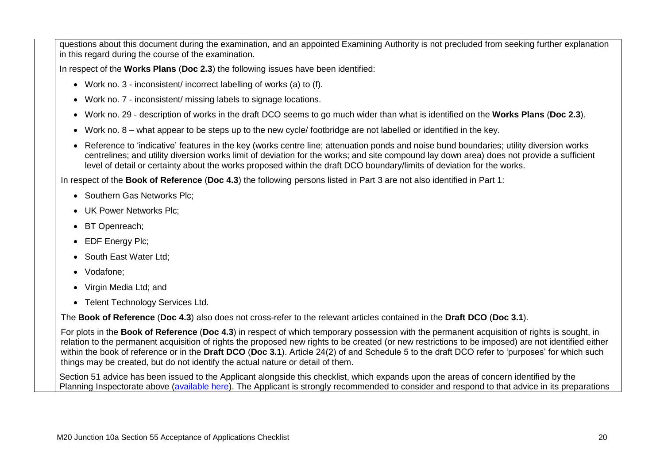questions about this document during the examination, and an appointed Examining Authority is not precluded from seeking further explanation in this regard during the course of the examination.

In respect of the **Works Plans** (**Doc 2.3**) the following issues have been identified:

- Work no. 3 inconsistent/ incorrect labelling of works (a) to (f).
- Work no. 7 inconsistent/ missing labels to signage locations.
- Work no. 29 description of works in the draft DCO seems to go much wider than what is identified on the **Works Plans** (**Doc 2.3**).
- Work no. 8 what appear to be steps up to the new cycle/ footbridge are not labelled or identified in the key.
- Reference to 'indicative' features in the key (works centre line; attenuation ponds and noise bund boundaries; utility diversion works centrelines; and utility diversion works limit of deviation for the works; and site compound lay down area) does not provide a sufficient level of detail or certainty about the works proposed within the draft DCO boundary/limits of deviation for the works.

In respect of the **Book of Reference** (**Doc 4.3**) the following persons listed in Part 3 are not also identified in Part 1:

- Southern Gas Networks Plc:
- UK Power Networks Plc:
- BT Openreach;
- EDF Energy Plc;
- South East Water Ltd;
- Vodafone:
- Virgin Media Ltd; and
- Telent Technology Services Ltd.

The **Book of Reference** (**Doc 4.3**) also does not cross-refer to the relevant articles contained in the **Draft DCO** (**Doc 3.1**).

For plots in the **Book of Reference** (**Doc 4.3**) in respect of which temporary possession with the permanent acquisition of rights is sought, in relation to the permanent acquisition of rights the proposed new rights to be created (or new restrictions to be imposed) are not identified either within the book of reference or in the **Draft DCO** (**Doc 3.1**). Article 24(2) of and Schedule 5 to the draft DCO refer to 'purposes' for which such things may be created, but do not identify the actual nature or detail of them.

Section 51 advice has been issued to the Applicant alongside this checklist, which expands upon the areas of concern identified by the Planning Inspectorate above [\(available here\)](https://infrastructure.planninginspectorate.gov.uk/projects/south-east/m20-junction-10a/?ipcsection=advice). The Applicant is strongly recommended to consider and respond to that advice in its preparations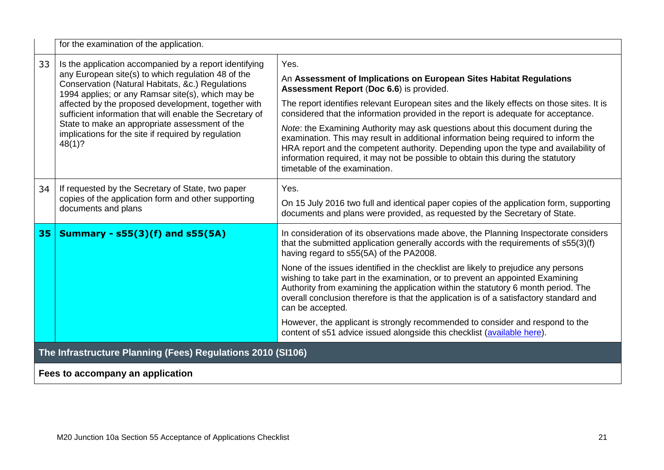|    | for the examination of the application.                                                                                                                                                                                                                                                                                                                                                                                                                     |                                                                                                                                                                                                                                                                                                                                                                                          |  |  |  |
|----|-------------------------------------------------------------------------------------------------------------------------------------------------------------------------------------------------------------------------------------------------------------------------------------------------------------------------------------------------------------------------------------------------------------------------------------------------------------|------------------------------------------------------------------------------------------------------------------------------------------------------------------------------------------------------------------------------------------------------------------------------------------------------------------------------------------------------------------------------------------|--|--|--|
| 33 | Is the application accompanied by a report identifying<br>any European site(s) to which regulation 48 of the<br>Conservation (Natural Habitats, &c.) Regulations<br>1994 applies; or any Ramsar site(s), which may be<br>affected by the proposed development, together with<br>sufficient information that will enable the Secretary of<br>State to make an appropriate assessment of the<br>implications for the site if required by regulation<br>48(1)? | Yes.<br>An Assessment of Implications on European Sites Habitat Regulations<br>Assessment Report (Doc 6.6) is provided.<br>The report identifies relevant European sites and the likely effects on those sites. It is<br>considered that the information provided in the report is adequate for acceptance.                                                                              |  |  |  |
|    |                                                                                                                                                                                                                                                                                                                                                                                                                                                             | <i>Note:</i> the Examining Authority may ask questions about this document during the<br>examination. This may result in additional information being required to inform the<br>HRA report and the competent authority. Depending upon the type and availability of<br>information required, it may not be possible to obtain this during the statutory<br>timetable of the examination. |  |  |  |
| 34 | If requested by the Secretary of State, two paper<br>copies of the application form and other supporting<br>documents and plans                                                                                                                                                                                                                                                                                                                             | Yes.<br>On 15 July 2016 two full and identical paper copies of the application form, supporting<br>documents and plans were provided, as requested by the Secretary of State.                                                                                                                                                                                                            |  |  |  |
| 35 | <b>Summary - s55(3)(f) and s55(5A)</b>                                                                                                                                                                                                                                                                                                                                                                                                                      | In consideration of its observations made above, the Planning Inspectorate considers<br>that the submitted application generally accords with the requirements of s55(3)(f)<br>having regard to s55(5A) of the PA2008.                                                                                                                                                                   |  |  |  |
|    |                                                                                                                                                                                                                                                                                                                                                                                                                                                             | None of the issues identified in the checklist are likely to prejudice any persons<br>wishing to take part in the examination, or to prevent an appointed Examining<br>Authority from examining the application within the statutory 6 month period. The<br>overall conclusion therefore is that the application is of a satisfactory standard and<br>can be accepted.                   |  |  |  |
|    |                                                                                                                                                                                                                                                                                                                                                                                                                                                             | However, the applicant is strongly recommended to consider and respond to the<br>content of s51 advice issued alongside this checklist (available here).                                                                                                                                                                                                                                 |  |  |  |
|    | The Infrastructure Planning (Fees) Regulations 2010 (SI106)                                                                                                                                                                                                                                                                                                                                                                                                 |                                                                                                                                                                                                                                                                                                                                                                                          |  |  |  |
|    | Fees to accompany an application                                                                                                                                                                                                                                                                                                                                                                                                                            |                                                                                                                                                                                                                                                                                                                                                                                          |  |  |  |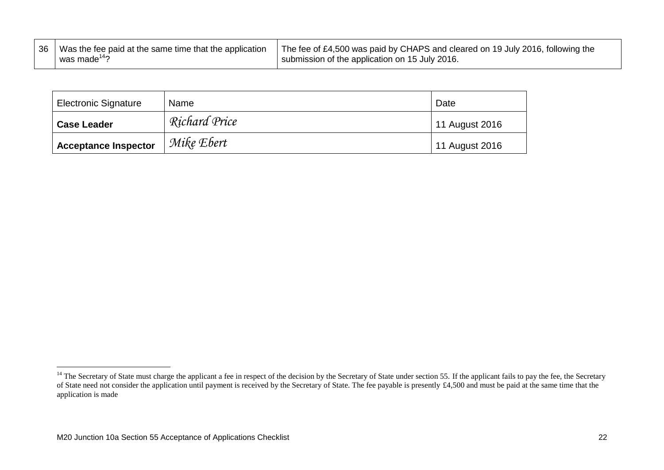| 36 Was the fee paid at the same time that the application | The fee of £4,500 was paid by CHAPS and cleared on 19 July 2016, following the |
|-----------------------------------------------------------|--------------------------------------------------------------------------------|
| $\mu$ was made <sup>14</sup> ?                            | submission of the application on 15 July 2016.                                 |

| <b>Electronic Signature</b> | Name          | Date           |
|-----------------------------|---------------|----------------|
| <b>Case Leader</b>          | Richard Price | 11 August 2016 |
| <b>Acceptance Inspector</b> | Mike Ebert    | 11 August 2016 |

<u>.</u>

<sup>&</sup>lt;sup>14</sup> The Secretary of State must charge the applicant a fee in respect of the decision by the Secretary of State under section 55. If the applicant fails to pay the fee, the Secretary of State need not consider the application until payment is received by the Secretary of State. The fee payable is presently £4,500 and must be paid at the same time that the application is made